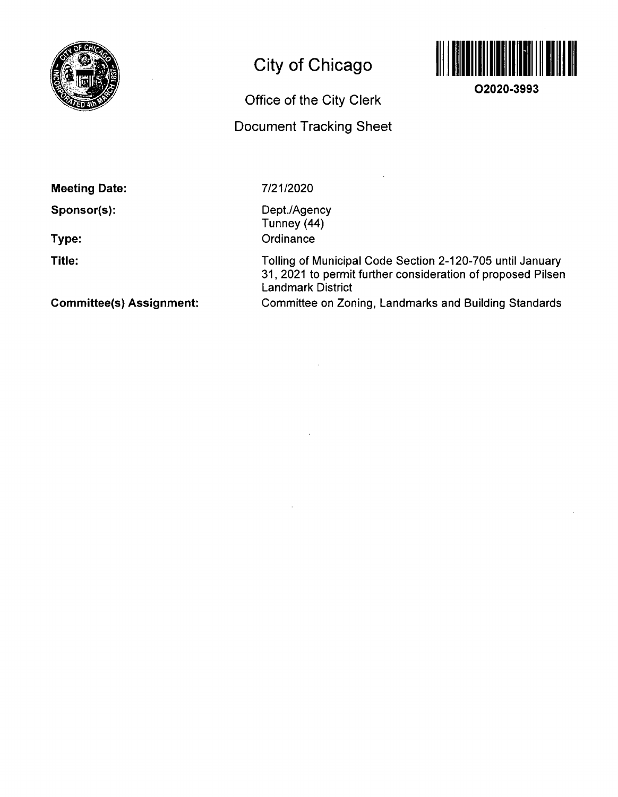

## **City of Chicago**



**02020-3993** 

# **Office of the City Clerk**

### **Document Tracking Sheet**

**Meeting Date:** 

**Sponsor(s):** 

**Type:** 

**Title:** 

7/21/2020

Dept./Agency Tunney (44) **Ordinance** 

Tolling of Municipal Code Section 2-120-705 until January 31, 2021 to permit further consideration of proposed Pilsen Landmark District Committee on Zoning, Landmarks and Building Standards

**Committee(s) Assignment:**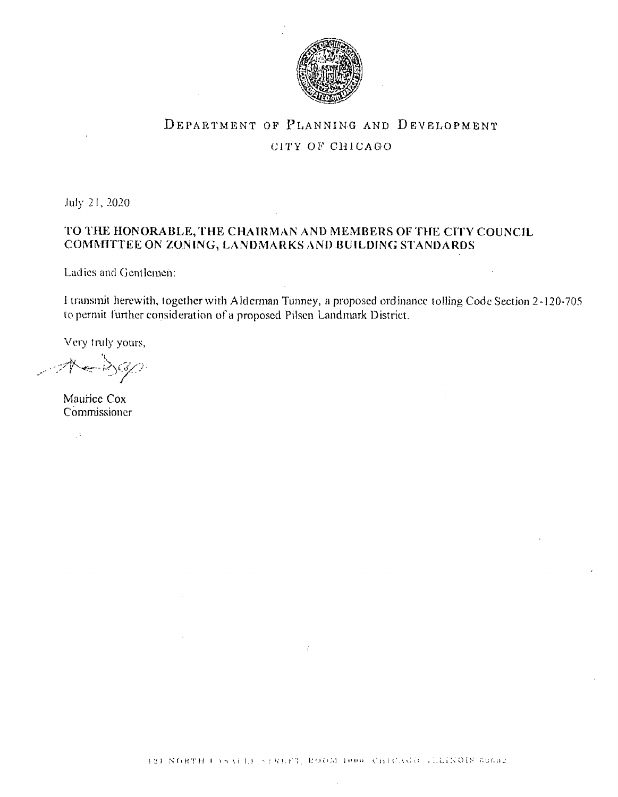

### DEPARTMENT OF PLANNING AND DEVELOPMENT CITY OF CHICAGO

July 21, 2020

#### TO THE HONORABLE, THE CHAIRMAN AND MEMBERS OF THE CITY COUNCIL COMMITTEE ON ZONING, LANDMARKS AND BUILDING STANDARDS

Ladies and Gentlemen:

I transmit herewith, together with Alderman Tunney, a proposed ordinance tolling Code Section 2-120-705 to permit further consideration of a proposed Pilsen Landmark District.

Very truly yours,

 $\mathcal{A}$ 

Maurice Cox Commissioner

 $\mathbb{R}^4$ 

121 NORTH FASALLI SIREET, ROOM 1000 CHICAGO (LUINOIS 60602)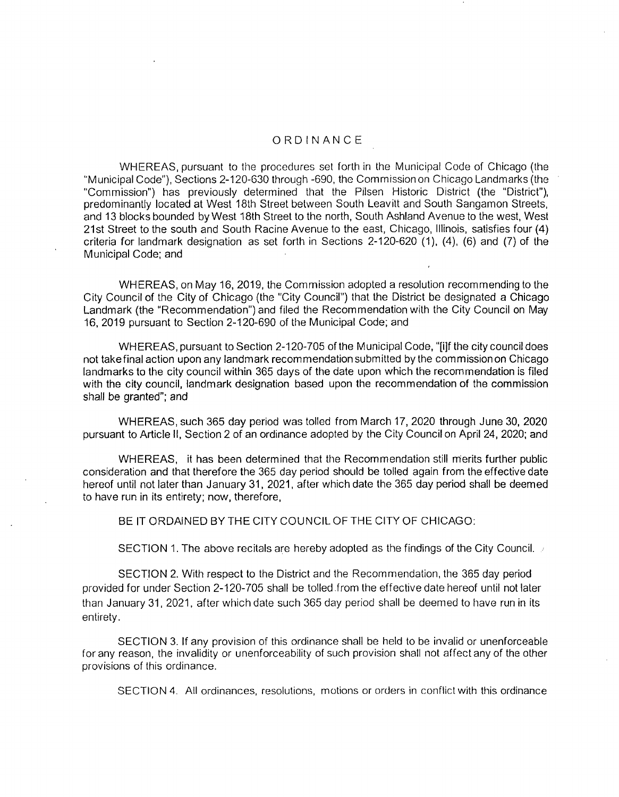#### ORDINANC E

WHEREAS, pursuant to the procedures set forth in the Municipal Code of Chicago (the "Municipal Code"), Sections 2-120-630 through -690, the Commission on Chicago Landmarks (the "Commission") has previously determined that the Pilsen Historic District (the "District"), predominantly located at West 18th Streei between South Leavitt and South Sangamon Streets, and 13 blocks bounded by West 18th Street to the north. South Ashland Avenue to the west, West 21st Street to the south and South Racine Avenue to the east, Chicago, Illinois, satisfies four (4) criteria for landmark designation as set forth in Sections 2-120-620 (1), (4), (6) and (7) of the Municipal Code; and

WHEREAS, on May 16, 2019, the Commission adopted a resolution recommending to the City Council of the City of Chicago (the "City Council") that the District be designated a Chicago Landmark (the "Recommendation") and filed the Recommendation with the City Council on May 16, 2019 pursuant to Section 2-120-690 of the Municipal Code; and

WHEREAS, pursuant to Section 2-120-705 of the Municipal Code, "[i]f the city council does not takefinal action upon any landmark recommendation submitted bythe commission on Chicago landmarks to the city council within 365 days of the date upon which the recommendation is filed with the city council, landmark designation based upon the recommendation of the commission shall be granted"; and

WHEREAS, such 365 day period was tolled from March 17, 2020 through June 30, 2020 pursuant to Article II, Section 2 of an ordinance adopted by the City Council on April 24, 2020; and

WHEREAS, it has been determined that the Recommendation still merits further public consideration and that therefore the 365 day period should be tolled again from the effective date hereof until not later than January 31, 2021, after which date the 365 day period shall be deemed to have run in its entirety; now, therefore,

BE IT ORDAINED BY THE CITY COUNCIL OF THE CITY OF CHICAGO:

SECTION 1. The above recitals are hereby adopted as the findings of the City Council.

SECTION 2. With respect to the District and the Recommendation, the 365 day period provided for under Section 2-120-705 shall be tolled from the effective date hereof until not later than January 31, 2021, after which date such 365 day period shall be deemed to have run in its entirety.

SECTION 3. If any provision of this ordinance shall be held to be invalid or unenforceable for any reason, the invalidity or unenforceability of such provision shall not affect any of the other provisions of this ordinance.

SECTION 4. All ordinances, resolutions, motions or orders in conflict with this ordinance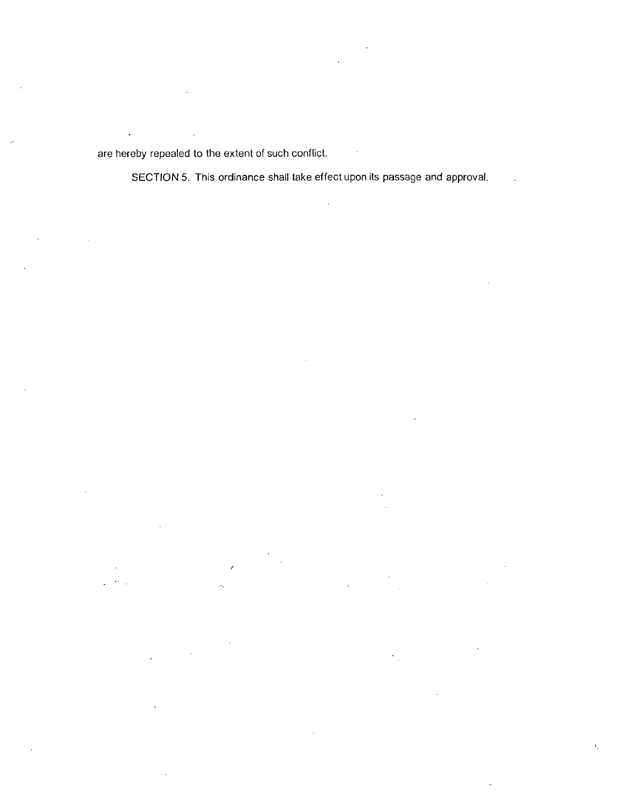are hereby repealed to the extent of such conflict.

 $\ddot{\phantom{0}}$ 

 $\sim$ 

SECTION 5. This ordinance shall take effect upon ils passage and approval.

 $\sim$   $\alpha$